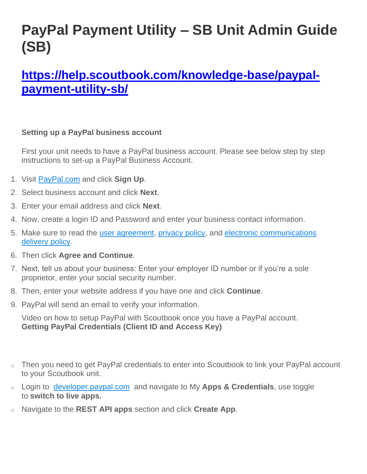# **PayPal Payment Utility – SB Unit Admin Guide (SB)**

### **[https://help.scoutbook.com/knowledge-base/paypal](https://help.scoutbook.com/knowledge-base/paypal-payment-utility-sb/)[payment-utility-sb/](https://help.scoutbook.com/knowledge-base/paypal-payment-utility-sb/)**

#### **Setting up a PayPal business account**

First your unit needs to have a PayPal business account. Please see below step by step instructions to set-up a PayPal Business Account.

- 1. Visit [PayPal.com](https://www.paypal.com/us/webapps/mpp/merchant) and click **Sign Up**.
- 2. Select business account and click **Next**.
- 3. Enter your email address and click **Next**.
- 4. Now, create a login ID and Password and enter your business contact information.
- 5. Make sure to read the [user agreement,](https://www.paypal.com/us/webapps/mpp/ua/useragreement-full) [privacy policy,](https://www.paypal.com/va/webapps/mpp/ua/privacy-full) and electronic communications [delivery policy.](https://www.paypal.com/us/webapps/mpp/ua/esign-full)
- 6. Then click **Agree and Continue**.
- 7. Next, tell us about your business: Enter your employer ID number or if you're a sole proprietor, enter your social security number.
- 8. Then, enter your website address if you have one and click **Continue**.
- 9. PayPal will send an email to verify your information.

Video on how to setup PayPal with Scoutbook once you have a PayPal account. **Getting PayPal Credentials (Client ID and Access Key)**

- o Then you need to get PayPal credentials to enter into Scoutbook to link your PayPal account to your Scoutbook unit.
- o Login to [developer.paypal.com](http://developer.paypal.com/) and navigate to My **Apps & Credentials**, use toggle to **switch to live apps.**
- o Navigate to the **REST API apps** section and click **Create App**.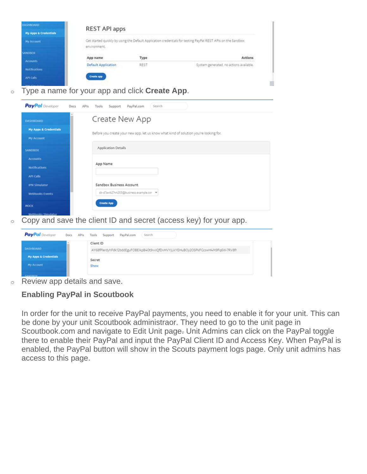| <b>DASHBOARD</b>                    | <b>REST API apps</b> |      |                                                                                                              |
|-------------------------------------|----------------------|------|--------------------------------------------------------------------------------------------------------------|
| My Apps & Credentials<br>My Account | environment.         |      | Cet started quickly by using the Default Application credentials for testing PayPal REST APIs on the Sandbox |
| <b>SANDBOX</b>                      |                      |      |                                                                                                              |
| <b>Accounts</b>                     | App name             | Type | Actions                                                                                                      |
| <b>Notifications</b>                | Default Application  | REST | System generated, no actions available.                                                                      |
| API Calls                           | Create app           |      |                                                                                                              |
|                                     |                      |      |                                                                                                              |

o Type a name for your app and click **Create App**.

| <b>PayPal</b> Developer          | Docs APIs | Tools<br>PayPal.com<br>Search<br>Support                                              |
|----------------------------------|-----------|---------------------------------------------------------------------------------------|
| <b>DASHBOARD</b>                 |           | Create New App                                                                        |
| <b>My Apps &amp; Credentials</b> |           | Before you create your new app, let us know what kind of solution you're looking for. |
| <b>My Account</b>                |           |                                                                                       |
| <b>SANDBOX</b>                   |           | Application Details                                                                   |
| <b>Accounts</b>                  |           | App Name                                                                              |
| <b>Notifications</b>             |           |                                                                                       |
| <b>API Calls</b>                 |           |                                                                                       |
| <b>IPN Simulator</b>             |           | Sandbox Business Account                                                              |
| <b>Webhooks Events</b>           |           | sb-d7awb2744203@business.example.cor >                                                |
| <b>MOCK</b>                      |           | <b>Create App</b>                                                                     |

o Copy and save the client ID and secret (access key) for your app.

| <b>PayPal</b> Developer | Docs | <b>APIs</b> | Tools     | Support | PayPal.com | Search                                                                            |
|-------------------------|------|-------------|-----------|---------|------------|-----------------------------------------------------------------------------------|
|                         |      |             | Client ID |         |            |                                                                                   |
| <b>DASHBOARD</b>        |      |             |           |         |            | AY68fPlerdyhFdk12bddEguFOBEllkpB40t9vvlQfDvHVYjLkYEHuBOy2OSPkFGcswH4M9Fq6W-7RV8fr |
| My Apps & Credentials   |      |             | Secret    |         |            |                                                                                   |
| <b>My Account</b>       |      |             | Show      |         |            |                                                                                   |
| <b>CANDIN'N'</b>        |      |             |           |         |            |                                                                                   |

o Review app details and save.

#### **Enabling PayPal in Scoutbook**

In order for the unit to receive PayPal payments, you need to enable it for your unit. This can be done by your unit Scoutbook administraor. They need to go to the unit page in Scoutbook.com and navigate to Edit Unit page. Unit Admins can click on the PayPal toggle there to enable their PayPal and input the PayPal Client ID and Access Key. When PayPal is enabled, the PayPal button will show in the Scouts payment logs page. Only unit admins has access to this page.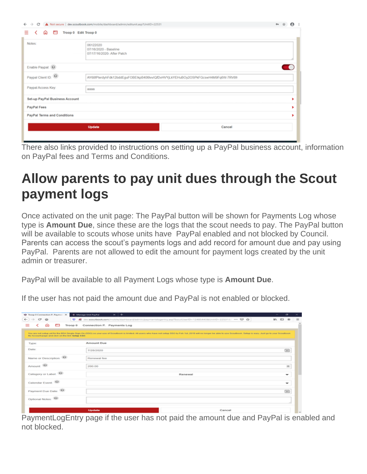| $\boldsymbol{\Theta}$<br>$0+12$<br>A Not secure   dev.scoutbook.com/mobile/dashboard/admin/editunit.asp?UnitID=22531<br>C<br>$\leftarrow$ $\rightarrow$ |                                                                                  |        |   |  |  |
|---------------------------------------------------------------------------------------------------------------------------------------------------------|----------------------------------------------------------------------------------|--------|---|--|--|
| ≡<br>⊟<br>≺<br>⋒                                                                                                                                        | Troop 0 Edit Troop 0                                                             |        |   |  |  |
| Notes:                                                                                                                                                  | 06122020<br>07/16/2020 - Baseline<br>07/17/16/2020- After Patch                  |        |   |  |  |
| Enable Paypal: (2)                                                                                                                                      |                                                                                  |        |   |  |  |
| Paypal Client ID: <sup>1</sup>                                                                                                                          | AY68fPlerdyhFdk12bddEguFOBElkpB40t9vvlQfDvHVYjLkYEHuBOy2OSPkFGcswH4M9Fq6W-7RV8fr |        |   |  |  |
| Paypal Access Key:                                                                                                                                      | 8888                                                                             |        |   |  |  |
| Set-up PayPal Business Account                                                                                                                          |                                                                                  |        | , |  |  |
| PayPal Fees                                                                                                                                             |                                                                                  |        | , |  |  |
| PayPal Terms and Conditions                                                                                                                             |                                                                                  |        | , |  |  |
|                                                                                                                                                         | <b>Update</b>                                                                    | Cancel |   |  |  |
|                                                                                                                                                         |                                                                                  |        |   |  |  |

There also links provided to instructions on setting up a PayPal business account, information on PayPal fees and Terms and Conditions.

## **Allow parents to pay unit dues through the Scout payment logs**

Once activated on the unit page: The PayPal button will be shown for Payments Log whose type is **Amount Due**, since these are the logs that the scout needs to pay. The PayPal button will be available to scouts whose units have PayPal enabled and not blocked by Council. Parents can access the scout's payments logs and add record for amount due and pay using PayPal. Parents are not allowed to edit the amount for payment logs created by the unit admin or treasurer.

PayPal will be available to all Payment Logs whose type is **Amount Due**.

| W Troop 0 Connection P. Paymon: N B Manage Unit PayPal | $\times$   +                                                                                                                                                                                                                   | $\sim$<br>$\sim$ | $\mathbb{\times}$ |
|--------------------------------------------------------|--------------------------------------------------------------------------------------------------------------------------------------------------------------------------------------------------------------------------------|------------------|-------------------|
| $C^*$ $\omega$<br>$\leftarrow$ ) $\rightarrow$         | 1<br><br>dev.scoutbook.com/mobile/dashboard/admin/paymentslopentry.asp75coutUserID=124854408UnitID=225316: ***<br><br><br><br><br>                                                                                             | $m \oplus x$     | $\blacksquare$    |
| -<br>Troop 0<br>≡<br>൘<br>≺                            | Connection P. Payments Log                                                                                                                                                                                                     |                  |                   |
| My Account page and click on the link Setup SSO.       | You are not setup yet for the BBA fangle-fagn-On (SDO) so your use of Scoutbook is limited. All users who have not setup SDO by Feb 1st, 2019 will no longer be able to use Scoutbook. Setup is easy Just go to your Scoutbook |                  |                   |
| Type:                                                  | <b>Amount Due</b>                                                                                                                                                                                                              |                  |                   |
| Date:                                                  | 7/28/2020                                                                                                                                                                                                                      | <b>Già</b>       |                   |
| Name or Description:                                   | Renewal fee                                                                                                                                                                                                                    |                  |                   |
| Amount: <sup>(2)</sup>                                 | 200.00                                                                                                                                                                                                                         | 88               |                   |
| Category or Label: (2)                                 | Renewal                                                                                                                                                                                                                        | v                |                   |
| Calendar Event: (2)                                    |                                                                                                                                                                                                                                | v                |                   |
| Payment Due Date: 3                                    |                                                                                                                                                                                                                                | (is)             |                   |
| Optional Notes: <sup>42</sup>                          |                                                                                                                                                                                                                                |                  |                   |
|                                                        | Cancel<br><b>Update</b>                                                                                                                                                                                                        |                  | $\sim$            |

If the user has not paid the amount due and PayPal is not enabled or blocked.

PaymentLogEntry page if the user has not paid the amount due and PayPal is enabled and not blocked.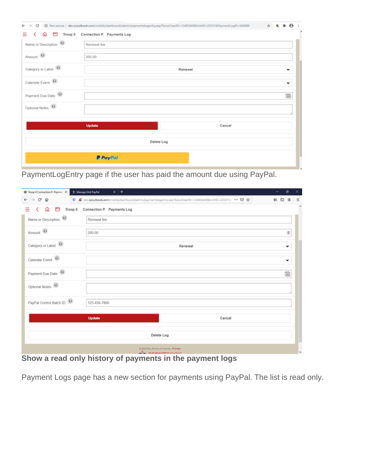| $\leftarrow$ $\rightarrow$  |                            | ☆ も ★ ⊖ | $\cdot$                         |
|-----------------------------|----------------------------|---------|---------------------------------|
| 8<br>Ξ<br>Troop 0<br>⋒<br>≺ | Connection P. Payments Log |         |                                 |
| Name or Description: @      | Renewal fee                |         |                                 |
| Amount: <sup>©</sup>        | 200.00                     |         |                                 |
| Category or Label: @        | Renewal                    |         | v                               |
| Calendar Event: @           |                            |         | ٠                               |
| Payment Due Date:           |                            |         | $\frac{\text{slab}}{\text{30}}$ |
| Optional Notes:             |                            |         |                                 |
|                             | <b>Update</b><br>Cancel    |         |                                 |
|                             | Delete Log                 |         |                                 |
|                             | <b>P</b> PayPal            |         |                                 |
|                             |                            |         |                                 |

PaymentLogEntry page if the user has paid the amount due using PayPal.

| Troop O Connection P. Paymer: X 4 Manage Unit PayPal | $x$ +                                                                                                        | $\sigma$<br>-                                                                                                                        |        |
|------------------------------------------------------|--------------------------------------------------------------------------------------------------------------|--------------------------------------------------------------------------------------------------------------------------------------|--------|
| $\leftarrow$ $\rightarrow$ $\alpha$ $\alpha$         | 1 3 devscoutbook.com/mobile/dashboard/admin/paymentslogentry.asp?ScoutUserID=124854408/UnitID=225318/  3 5 3 | $M \oplus \infty$                                                                                                                    | Ξ      |
| ⊟<br>Ξ<br>⋒<br>←<br>Troop 0                          | Connection P. Payments Log                                                                                   |                                                                                                                                      |        |
| Name or Description: <sup>4</sup>                    | Renewal fee                                                                                                  |                                                                                                                                      |        |
| Amount: <sup>©</sup>                                 | 200.00                                                                                                       | ы                                                                                                                                    |        |
| Category or Label: @                                 | Renewal                                                                                                      | ٠                                                                                                                                    |        |
| Calendar Event: <sup>©</sup>                         |                                                                                                              | ٠                                                                                                                                    |        |
| Payment Due Date:                                    |                                                                                                              | $\begin{bmatrix} \frac{\partial \mathcal{L}}{\partial \mathbf{0}} \\ \frac{\partial \mathcal{L}}{\partial \mathbf{0}} \end{bmatrix}$ |        |
| Optional Notes:                                      |                                                                                                              |                                                                                                                                      |        |
| PayPal Control Batch ID: @                           | 123-456-7890                                                                                                 |                                                                                                                                      |        |
|                                                      | <b>Update</b><br>Cancel                                                                                      |                                                                                                                                      |        |
|                                                      | Delete Log                                                                                                   |                                                                                                                                      |        |
|                                                      | 0 2020 Boy Scouts of America - Privacy<br>A contract of the American                                         |                                                                                                                                      | $\sim$ |

**Show a read only history of payments in the payment logs**

Payment Logs page has a new section for payments using PayPal. The list is read only.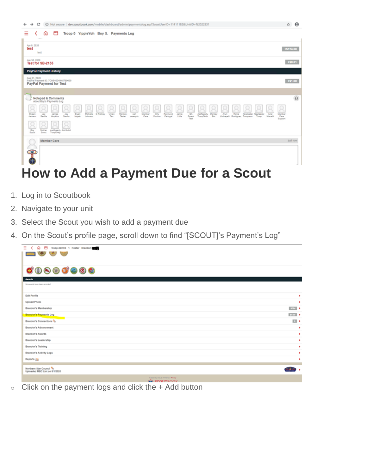| $\rightarrow$<br>G<br>÷                                                         |                                  | (iii) Not secure   dev.scoutbook.com/mobile/dashboard/admin/paymentslog.aspr3coutUserID=114111828(UnitID=%2022531 |                                   |                                    |                                        |                                                |                                          |                                                 |                                                     | R<br>ಀ          |
|---------------------------------------------------------------------------------|----------------------------------|-------------------------------------------------------------------------------------------------------------------|-----------------------------------|------------------------------------|----------------------------------------|------------------------------------------------|------------------------------------------|-------------------------------------------------|-----------------------------------------------------|-----------------|
| ⊟<br>⋒<br>$=$<br>----                                                           |                                  | Troop 0 YippieYoh Boy S. Payments Log                                                                             |                                   |                                    |                                        |                                                |                                          |                                                 |                                                     |                 |
| Apr 8, 2020<br>test<br>test                                                     |                                  |                                                                                                                   |                                   |                                    |                                        |                                                |                                          |                                                 |                                                     | +\$123.00       |
| Jan 30, 2020<br>Test for SB-2155                                                |                                  |                                                                                                                   |                                   |                                    |                                        |                                                |                                          |                                                 |                                                     | +50.01          |
| <b>PayPal Payment History</b>                                                   |                                  |                                                                                                                   |                                   |                                    |                                        |                                                |                                          |                                                 |                                                     |                 |
| Aug 21, 2020<br>PayPal Payment ID: 7CN646249N5789000<br>PayPal Payment for Test |                                  |                                                                                                                   |                                   |                                    |                                        |                                                |                                          |                                                 |                                                     | +\$1.00         |
| Notepad & Comments<br>$\sim$ 1<br>about Boy's Payments Log                      |                                  |                                                                                                                   |                                   |                                    |                                        |                                                |                                          |                                                 |                                                     | $^{\copyright}$ |
| Shawn<br>Jay<br>James<br>Jackson<br>Sevilla<br>Hopkins                          | Jay<br>Bryan<br>Sevilla<br>Hayek | C Ritchey<br>Michalle<br>Johnson                                                                                  | Vivien<br>Monkey<br>Tan<br>Texter | carl<br>Mamber<br>Care<br>casequin | Orly<br>Raymund<br>Pontino<br>Caringal | <b>GA</b><br>Jamie<br>Little<br>Parent<br>Test | Andforesty<br>Monkey<br>TroopDAdn<br>Bot | Anjn.<br>Ronie<br>Kothapali Rodriguez Troopzero | Ariel<br>Newleader<br>Newleader<br>Tropp<br>Manalli | Member<br>Care  |
| Boy<br>Mother<br>Soout.<br>TroopOrlay<br>Soput                                  | Aadforesty Add Adult             |                                                                                                                   |                                   |                                    |                                        |                                                |                                          |                                                 |                                                     | Support         |
| Member Care<br>-                                                                |                                  |                                                                                                                   |                                   |                                    |                                        |                                                |                                          |                                                 |                                                     | just now        |
|                                                                                 |                                  |                                                                                                                   |                                   |                                    |                                        |                                                |                                          |                                                 |                                                     |                 |
| Ť                                                                               |                                  |                                                                                                                   |                                   |                                    |                                        |                                                |                                          |                                                 |                                                     |                 |
|                                                                                 |                                  |                                                                                                                   |                                   |                                    |                                        |                                                |                                          |                                                 |                                                     |                 |
| $\mathbf{u}$ and                                                                |                                  | 8 시시<br>$\sqrt{2}$                                                                                                |                                   | Doume                              |                                        | Dua i                                          | $F_{\mathbf{A}}$ $\mathbf{A}$            |                                                 | $P_{\text{A}}$                                      |                 |

- **How to Add a Payment Due for a Scout**
- 1. Log in to Scoutbook
- 2. Navigate to your unit
- 3. Select the Scout you wish to add a payment due
- 4. On the Scout's profile page, scroll down to find "[SCOUT]'s Payment's Log"

| Ξ<br>< @ <sup>El</sup> Troop 3270 B 1 Roster Brandon         |              |
|--------------------------------------------------------------|--------------|
| <b>CONTRACTOR</b>                                            |              |
| 00900000                                                     |              |
| <b>Awards</b>                                                |              |
| No awards have been recorded                                 |              |
|                                                              |              |
| Edit Profile                                                 | $\bullet$    |
| <b>Upload Photo</b>                                          | $\bullet$    |
| Brandon's Membership                                         | <b>BIM B</b> |
| Brandon's Payments Log<br>$\overline{\phantom{a}}$           | 94.00 2      |
| Brandon's Connections                                        | <b>ISI X</b> |
| Brandon's Advancement                                        | $\mathbf{r}$ |
| Brandon's Awards                                             | ٠            |
| Brandon's Leadership                                         | $\bullet$    |
| Brandon's Training                                           | ÷            |
| Brandon's Activity Logs                                      | ÷            |
| Reports [56]                                                 | ٠            |
|                                                              |              |
| Northern Star Council &<br>Uploaded MBC List on 8/1/2020     |              |
| 4 2021 Boy Ensuis of America / Privacy<br><b>SA CONTROOV</b> |              |

 $\circ$  Click on the payment logs and click the + Add button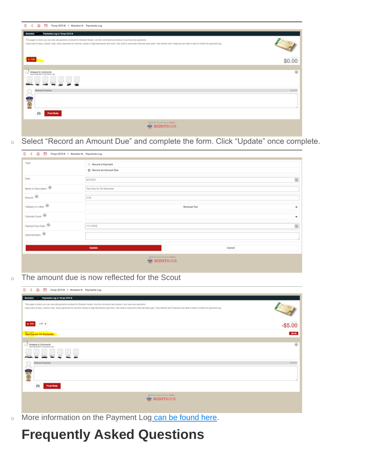| Ξ<br>Troop 3270 B 1 Brandon N. Payments Log<br>$\omega$                                                                                                                                                                                                                                                                                             |                 |
|-----------------------------------------------------------------------------------------------------------------------------------------------------------------------------------------------------------------------------------------------------------------------------------------------------------------------------------------------------|-----------------|
| Payments Log in Troop 2270 B<br><b>Brandon</b>                                                                                                                                                                                                                                                                                                      |                 |
| This page is where you can view all payments received for Brandon Noske. Use the comments area below if you have any questions.<br>Keep track of dues, activity costs, down payments for summer camps or high adventures and more. See what is owed and what has been paid. Crity Admins and Treasurers are able to add or modify the payments log. |                 |
| <b>Altre</b>                                                                                                                                                                                                                                                                                                                                        | \$0.00          |
| Motepad & Comments<br>about Brander's Payments Log<br>ter free feet and<br>cenga                                                                                                                                                                                                                                                                    | $\odot$         |
| <b>Richard Crummy</b><br>ie.                                                                                                                                                                                                                                                                                                                        | <b>Just now</b> |
| ø<br><b>Post Note</b>                                                                                                                                                                                                                                                                                                                               |                 |
| 8 2021 Boy South of America + Privacy<br><b>SCOUTBOOK</b><br>-                                                                                                                                                                                                                                                                                      |                 |

o Select "Record an Amount Due" and complete the form. Click "Update" once complete.

| $\equiv$ $\langle$ $\hat{\omega}$ $\Box$ Troop 3270 B 1 Brandon N. Payments Log |                                                   |                     |   |
|---------------------------------------------------------------------------------|---------------------------------------------------|---------------------|---|
| Type:                                                                           | <b>Becord a Payment</b><br>C Record an Amount Due |                     |   |
| Date:                                                                           | 9/2/2020                                          |                     | 箘 |
| Name or Description: <sup>(2)</sup>                                             | Test Due for XX Recharter                         |                     |   |
| Anount <sup>(B)</sup>                                                           | 5.00                                              |                     |   |
| Category or Label: $@$                                                          |                                                   | Renewal Fee         | v |
| Calendar Event $@$                                                              |                                                   |                     | ۰ |
| Payment Due Date: <sup>(2)</sup>                                                | 11/1/2020                                         |                     | 箘 |
| Optional Notes: <sup>(2)</sup>                                                  |                                                   |                     |   |
|                                                                                 | <b>Update</b>                                     | Cancel              |   |
|                                                                                 | 4.2020 Blochman of America + Privacy              | <b>SP SCOUTBOOK</b> |   |

 $\circ$  The amount due is now reflected for the Scout

| Troop 3270 B 1 Brandon N. Payments Log<br>Ξ<br>$\Omega$                                                                                                                                                                                                                                                                                            |            |
|----------------------------------------------------------------------------------------------------------------------------------------------------------------------------------------------------------------------------------------------------------------------------------------------------------------------------------------------------|------------|
| Brandon: Call: Payments Log in Troop 1278 B                                                                                                                                                                                                                                                                                                        |            |
| This page is where you can view all payments received for Brandon Noske. Use the commercs area below if you have any questions.<br>Keep track of dues, activity costs, down payments for summer camps or high adventures and more. See what is owed and what has been paid. Only Admins and Treasurers are able to add or modify the payments log. |            |
| CSV >                                                                                                                                                                                                                                                                                                                                              | $-$ \$5.00 |
| Test Due for XX Recharter                                                                                                                                                                                                                                                                                                                          | 48.00      |
| Notepad & Comments<br>about Brandom's Payments Log<br><b>Burnet</b><br>Brandon<br><b>Date of</b>                                                                                                                                                                                                                                                   | $\Omega$   |
| <b>Richard Crummy</b>                                                                                                                                                                                                                                                                                                                              | just now   |
| $\ddot{\mathbf{e}}$<br>ø<br><b>Post Note</b>                                                                                                                                                                                                                                                                                                       |            |
| 4.200 for Sound of America - Private<br><b>SP SCOUTBOOK</b>                                                                                                                                                                                                                                                                                        |            |
| $\sim$ $\sim$<br><b><i><u>Property</u></i></b><br><b>CONTINUES</b><br>.<br>$\sim$<br>$\sim$<br>. .<br>. .                                                                                                                                                                                                                                          |            |

o More information on the Payment Log [can be found here.](https://help.scoutbook.com/knowledge-base/what-kind-of-financial-recording-does-scoutbook-provide/)

### **Frequently Asked Questions**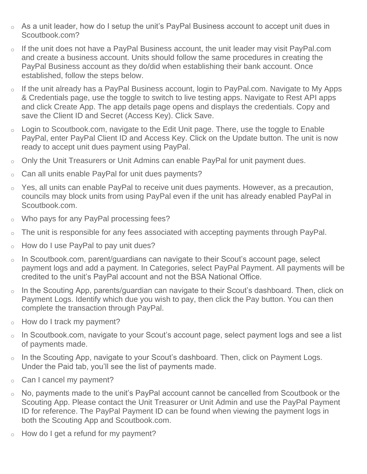- $\circ$  As a unit leader, how do I setup the unit's PayPal Business account to accept unit dues in Scoutbook.com?
- o If the unit does not have a PayPal Business account, the unit leader may visit PayPal.com and create a business account. Units should follow the same procedures in creating the PayPal Business account as they do/did when establishing their bank account. Once established, follow the steps below.
- $\circ$  If the unit already has a PayPal Business account, login to PayPal.com. Navigate to My Apps & Credentials page, use the toggle to switch to live testing apps. Navigate to Rest API apps and click Create App. The app details page opens and displays the credentials. Copy and save the Client ID and Secret (Access Key). Click Save.
- o Login to Scoutbook.com, navigate to the Edit Unit page. There, use the toggle to Enable PayPal, enter PayPal Client ID and Access Key. Click on the Update button. The unit is now ready to accept unit dues payment using PayPal.
- o Only the Unit Treasurers or Unit Admins can enable PayPal for unit payment dues.
- o Can all units enable PayPal for unit dues payments?
- o Yes, all units can enable PayPal to receive unit dues payments. However, as a precaution, councils may block units from using PayPal even if the unit has already enabled PayPal in Scoutbook.com.
- o Who pays for any PayPal processing fees?
- o The unit is responsible for any fees associated with accepting payments through PayPal.
- o How do I use PayPal to pay unit dues?
- $\circ$  In Scoutbook.com, parent/guardians can navigate to their Scout's account page, select payment logs and add a payment. In Categories, select PayPal Payment. All payments will be credited to the unit's PayPal account and not the BSA National Office.
- o In the Scouting App, parents/guardian can navigate to their Scout's dashboard. Then, click on Payment Logs. Identify which due you wish to pay, then click the Pay button. You can then complete the transaction through PayPal.
- o How do I track my payment?
- o In Scoutbook.com, navigate to your Scout's account page, select payment logs and see a list of payments made.
- $\circ$  In the Scouting App, navigate to your Scout's dashboard. Then, click on Payment Logs. Under the Paid tab, you'll see the list of payments made.
- o Can I cancel my payment?
- o No, payments made to the unit's PayPal account cannot be cancelled from Scoutbook or the Scouting App. Please contact the Unit Treasurer or Unit Admin and use the PayPal Payment ID for reference. The PayPal Payment ID can be found when viewing the payment logs in both the Scouting App and Scoutbook.com.
- $\circ$  How do I get a refund for my payment?